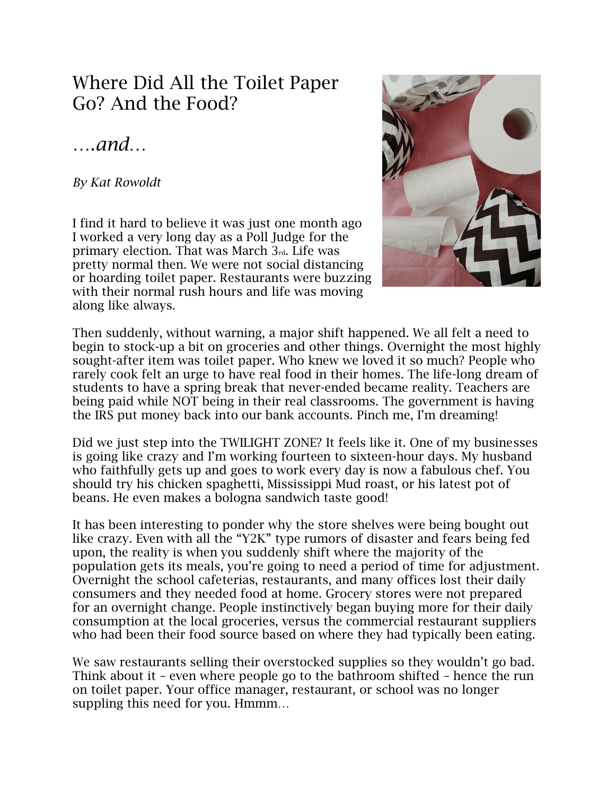## Where Did All the Toilet Paper Go? And the Food?

## ….*and*…

*By Kat Rowoldt*

I find it hard to believe it was just one month ago I worked a very long day as a Poll Judge for the primary election. That was March 3rd. Life was pretty normal then. We were not social distancing or hoarding toilet paper. Restaurants were buzzing with their normal rush hours and life was moving along like always.



Then suddenly, without warning, a major shift happened. We all felt a need to begin to stock-up a bit on groceries and other things. Overnight the most highly sought-after item was toilet paper. Who knew we loved it so much? People who rarely cook felt an urge to have real food in their homes. The life-long dream of students to have a spring break that never-ended became reality. Teachers are being paid while NOT being in their real classrooms. The government is having the IRS put money back into our bank accounts. Pinch me, I'm dreaming!

Did we just step into the TWILIGHT ZONE? It feels like it. One of my businesses is going like crazy and I'm working fourteen to sixteen-hour days. My husband who faithfully gets up and goes to work every day is now a fabulous chef. You should try his chicken spaghetti, Mississippi Mud roast, or his latest pot of beans. He even makes a bologna sandwich taste good!

It has been interesting to ponder why the store shelves were being bought out like crazy. Even with all the "Y2K" type rumors of disaster and fears being fed upon, the reality is when you suddenly shift where the majority of the population gets its meals, you're going to need a period of time for adjustment. Overnight the school cafeterias, restaurants, and many offices lost their daily consumers and they needed food at home. Grocery stores were not prepared for an overnight change. People instinctively began buying more for their daily consumption at the local groceries, versus the commercial restaurant suppliers who had been their food source based on where they had typically been eating.

We saw restaurants selling their overstocked supplies so they wouldn't go bad. Think about it – even where people go to the bathroom shifted – hence the run on toilet paper. Your office manager, restaurant, or school was no longer suppling this need for you. Hmmm…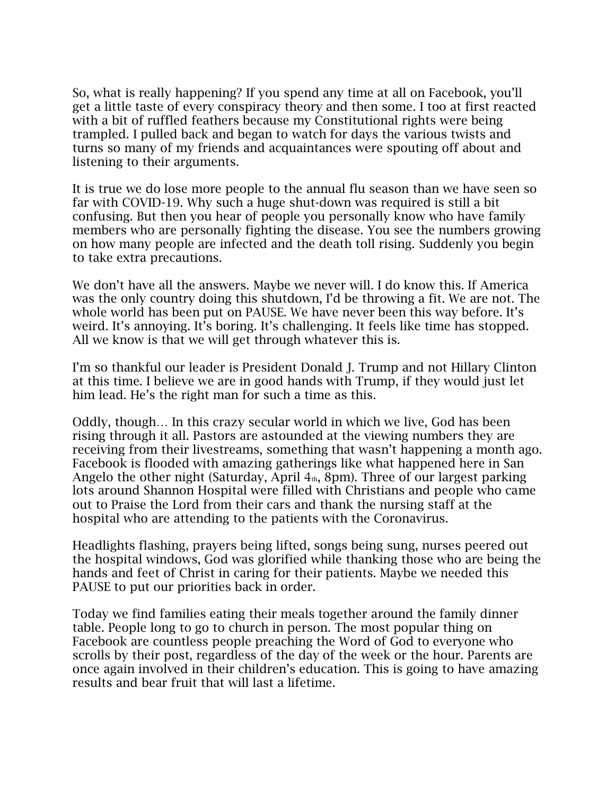So, what is really happening? If you spend any time at all on Facebook, you'll get a little taste of every conspiracy theory and then some. I too at first reacted with a bit of ruffled feathers because my Constitutional rights were being trampled. I pulled back and began to watch for days the various twists and turns so many of my friends and acquaintances were spouting off about and listening to their arguments.

It is true we do lose more people to the annual flu season than we have seen so far with COVID-19. Why such a huge shut-down was required is still a bit confusing. But then you hear of people you personally know who have family members who are personally fighting the disease. You see the numbers growing on how many people are infected and the death toll rising. Suddenly you begin to take extra precautions.

We don't have all the answers. Maybe we never will. I do know this. If America was the only country doing this shutdown, I'd be throwing a fit. We are not. The whole world has been put on PAUSE. We have never been this way before. It's weird. It's annoying. It's boring. It's challenging. It feels like time has stopped. All we know is that we will get through whatever this is.

I'm so thankful our leader is President Donald J. Trump and not Hillary Clinton at this time. I believe we are in good hands with Trump, if they would just let him lead. He's the right man for such a time as this.

Oddly, though… In this crazy secular world in which we live, God has been rising through it all. Pastors are astounded at the viewing numbers they are receiving from their livestreams, something that wasn't happening a month ago. Facebook is flooded with amazing gatherings like what happened here in San Angelo the other night (Saturday, April  $4<sub>th</sub>$ , 8pm). Three of our largest parking lots around Shannon Hospital were filled with Christians and people who came out to Praise the Lord from their cars and thank the nursing staff at the hospital who are attending to the patients with the Coronavirus.

Headlights flashing, prayers being lifted, songs being sung, nurses peered out the hospital windows, God was glorified while thanking those who are being the hands and feet of Christ in caring for their patients. Maybe we needed this PAUSE to put our priorities back in order.

Today we find families eating their meals together around the family dinner table. People long to go to church in person. The most popular thing on Facebook are countless people preaching the Word of God to everyone who scrolls by their post, regardless of the day of the week or the hour. Parents are once again involved in their children's education. This is going to have amazing results and bear fruit that will last a lifetime.